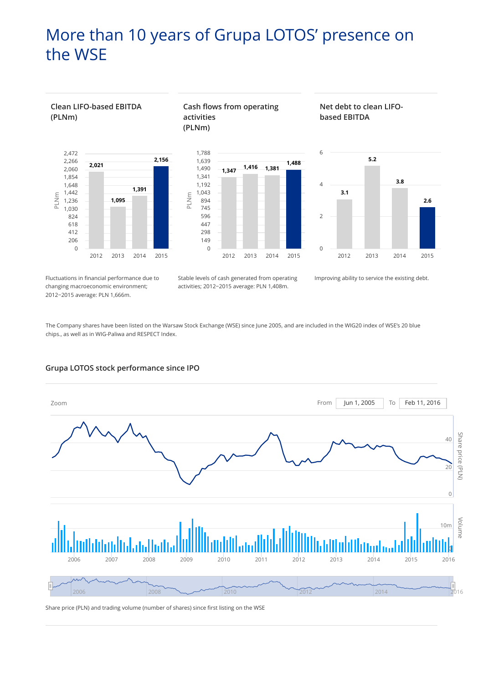# More than 10 years of Grupa LOTOS' presence on the WSE



Fluctuations in financial performance due to changing macroeconomic environment; 2012−2015 average: PLN 1,666m.

Stable levels of cash generated from operating **1,347 1,416 1,381** activities; 2012−2015 average: PLN 1,408m.

Improving ability to service the existing debt.

The Company shares have been listed on the Warsaw Stock Exchange (WSE) since June 2005, and are included in the WIG20 index of WSE's 20 blue



### **Grupa LOTOS stock performance since IPO**

Share price (PLN) and trading volume (number of shares) since first listing on the WSE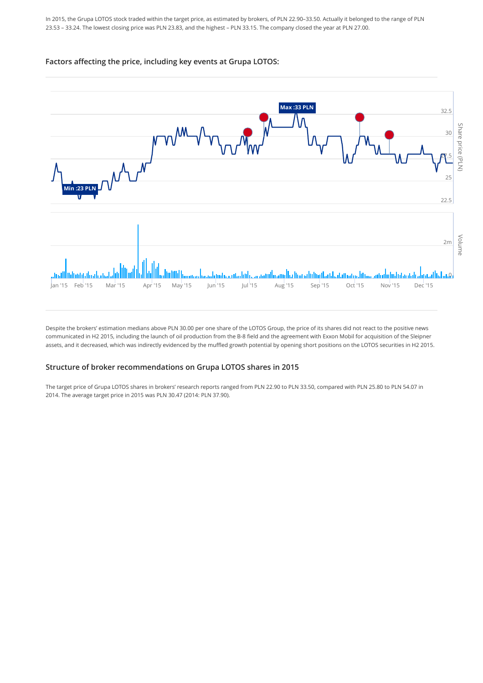In 2015, the Grupa LOTOS stock traded within the target price, as estimated by brokers, of PLN 22.90–33.50. Actually it belonged to the range of PLN 23.53 – 33.24. The lowest closing price was PLN 23.83, and the highest – PLN 33.15. The company closed the year at PLN 27.00.

### **Factors affecting the price, including key events at Grupa LOTOS:**



Despite the brokers' estimation medians above PLN 30.00 per one share of the LOTOS Group, the price of its shares did not react to the positive news communicated in H2 2015, including the launch of oil production from the B-8 field and the agreement with Exxon Mobil for acquisition of the Sleipner assets, and it decreased, which was indirectly evidenced by the muffled growth potential by opening short positions on the LOTOS securities in H2 2015.

### **Structure of broker recommendations on Grupa LOTOS shares in 2015**

The target price of Grupa LOTOS shares in brokers' research reports ranged from PLN 22.90 to PLN 33.50, compared with PLN 25.80 to PLN 54.07 in 2014. The average target price in 2015 was PLN 30.47 (2014: PLN 37.90).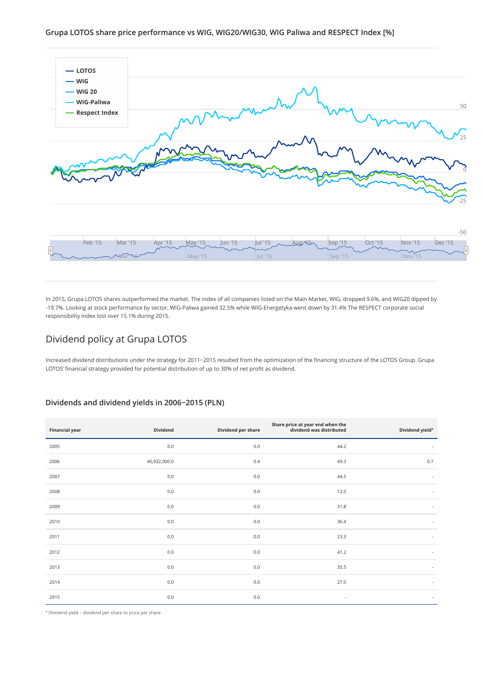

In 2015, Grupa LOTOS shares outperformed the market. The index of all companies listed on the Main Market, WIG, dropped 9.6%, and WIG20 dipped by -19.7%. Looking at stock performance by sector, WIG-Paliwa gained 32.5% while WIG-Energetyka went down by 31.4% The RESPECT corporate social responsibility index lost over 15.1% during 2015.

## Dividend policy at Grupa LOTOS

Increased dividend distributions under the strategy for 2011−2015 resulted from the optimization of the financing structure of the LOTOS Group. Grupa LOTOS' financial strategy provided for potential distribution of up to 30% of net profit as dividend.

### **Dividends and dividend yields in 2006−2015 (PLN)**

| <b>Financial year</b> | Dividend     | Dividend per share | Share price at year end when the<br>dividend was distributed | Dividend yield*          |
|-----------------------|--------------|--------------------|--------------------------------------------------------------|--------------------------|
| 2005                  | $0.0\,$      | $0.0\,$            | 44.2                                                         | $\overline{\phantom{a}}$ |
| 2006                  | 40,932,000.0 | 0.4                | 49.3                                                         | 0.7                      |
| 2007                  | $0.0\,$      | 0.0                | 44.5                                                         | $\overline{\phantom{a}}$ |
| 2008                  | $0.0\,$      | $0.0\,$            | 12.0                                                         | $\overline{\phantom{a}}$ |
| 2009                  | $0.0\,$      | 0.0                | 31.8                                                         | $\overline{\phantom{a}}$ |
| 2010                  | 0.0          | 0.0                | 36.4                                                         | $\overline{\phantom{a}}$ |
| 2011                  | $0.0\,$      | 0.0                | 23.3                                                         | $\overline{\phantom{a}}$ |
| 2012                  | $0.0\,$      | 0.0                | 41.2                                                         | $\overline{\phantom{a}}$ |
| 2013                  | $0.0\,$      | 0.0                | 35.5                                                         | $\sim$                   |
| 2014                  | $0.0\,$      | $0.0\,$            | 27.0                                                         | $\overline{\phantom{a}}$ |
| 2015                  | $0.0\,$      | 0.0                | ٠                                                            | $\sim$                   |

\* Dividend yield – dividend per share to price per share